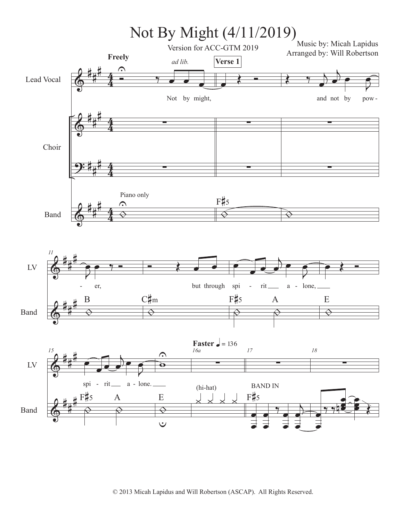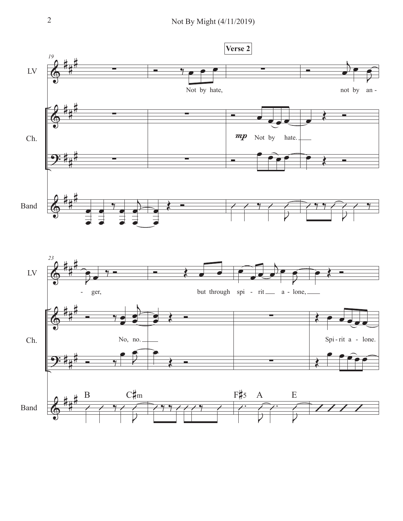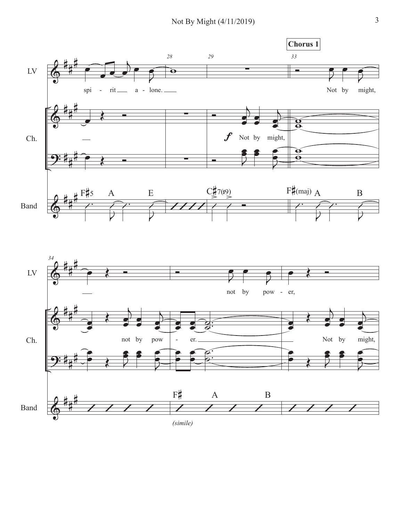

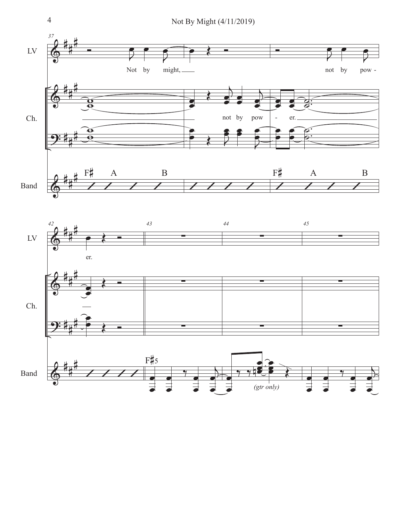

œ œ

œ

œ œ œ œ  $\overline{q}$ 

*(gtr only)*

œ œ œ œ

œ

œ œ

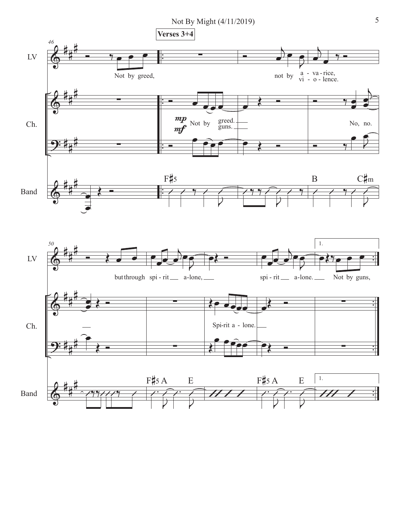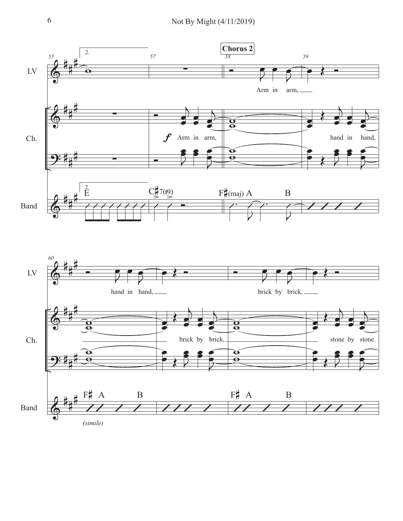

''' '

'' ' '

 $\prime$ 

 $F# A$  B

 $\pmb{\mathbb{\phi}}$ 

Band

# # #

'' ' '

*(simile)*

 $F# A$  B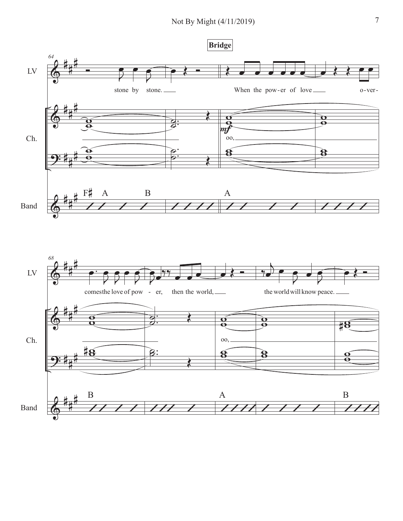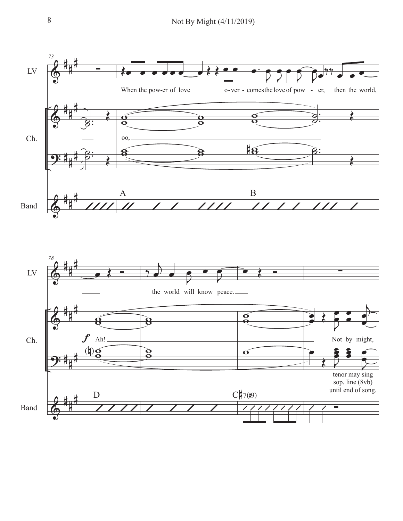

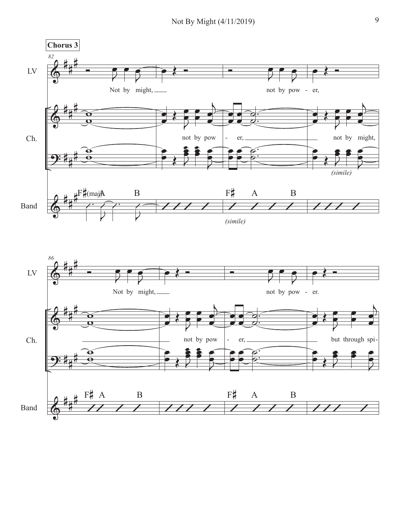

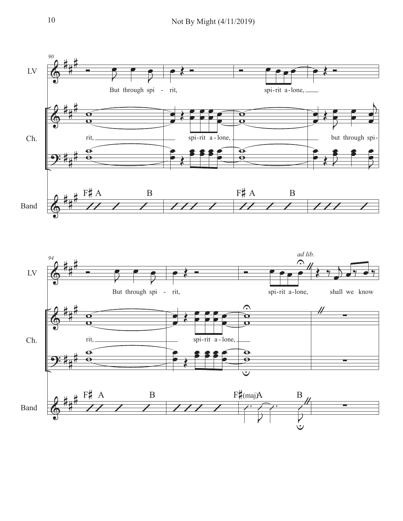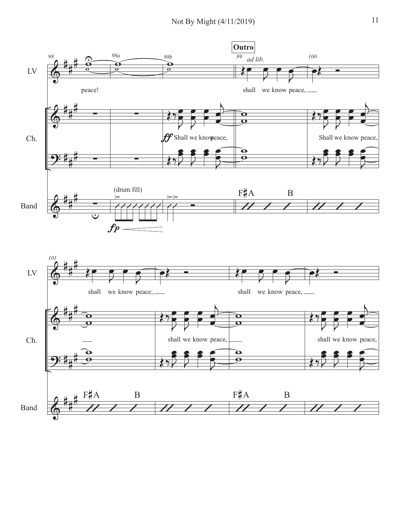